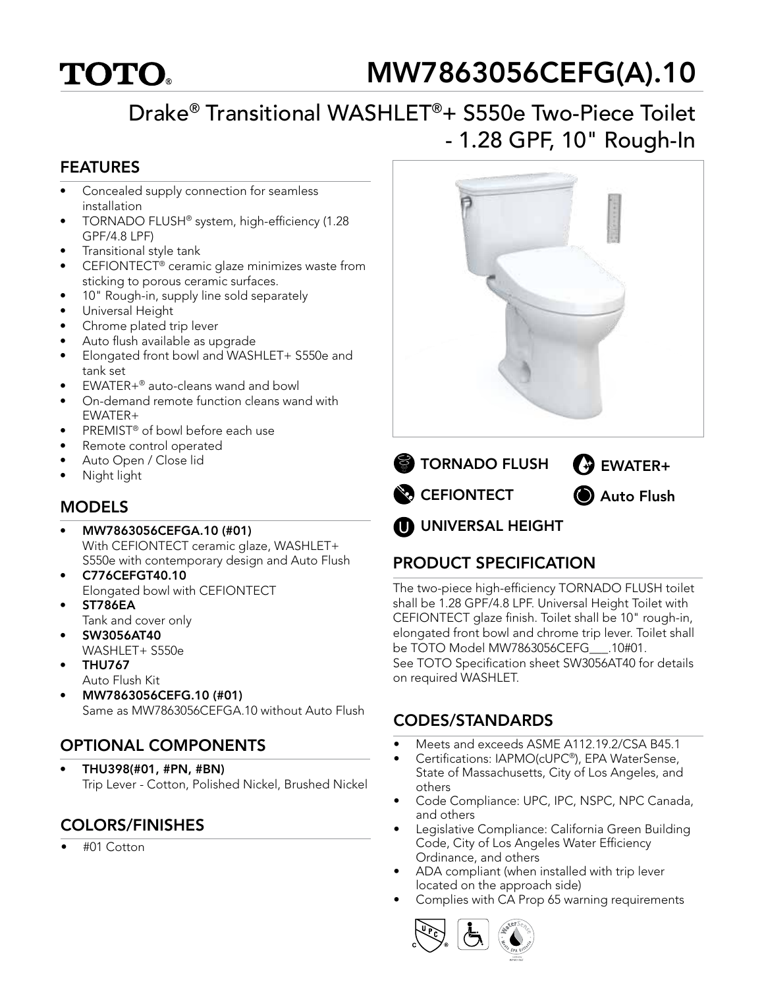# **TOTO.**

## MW7863056CEFG(A).10

## Drake® Transitional WASHLET®+ S550e Two-Piece Toilet - 1.28 GPF, 10" Rough-In

#### FEATURES

- Concealed supply connection for seamless installation
- TORNADO FLUSH® system, high-efficiency (1.28 GPF/4.8 LPF)
- Transitional style tank
- CEFIONTECT® ceramic glaze minimizes waste from sticking to porous ceramic surfaces.
- 10" Rough-in, supply line sold separately
- Universal Height
- Chrome plated trip lever
- Auto flush available as upgrade
- Elongated front bowl and WASHLET+ S550e and tank set
- EWATER+® auto-cleans wand and bowl
- On-demand remote function cleans wand with EWATER+
- PREMIST® of bowl before each use
- Remote control operated
- Auto Open / Close lid
- Night light

#### MODELS

- MW7863056CEFGA.10 (#01) With CEFIONTECT ceramic glaze, WASHLET+ S550e with contemporary design and Auto Flush
- C776CEFGT40.10 Elongated bowl with CEFIONTECT
- ST786EA
- Tank and cover only
- SW3056AT40 WASHLET+ S550e
- THU767
- Auto Flush Kit
- MW7863056CEFG.10 (#01) Same as MW7863056CEFGA.10 without Auto Flush

### OPTIONAL COMPONENTS

• THU398(#01, #PN, #BN) Trip Lever - Cotton, Polished Nickel, Brushed Nickel

#### COLORS/FINISHES

• #01 Cotton





**UNIVERSAL HEIGHT** 

### PRODUCT SPECIFICATION

The two-piece high-efficiency TORNADO FLUSH toilet shall be 1.28 GPF/4.8 LPF. Universal Height Toilet with CEFIONTECT glaze finish. Toilet shall be 10" rough-in, elongated front bowl and chrome trip lever. Toilet shall be TOTO Model MW7863056CEFG\_\_\_.10#01. See TOTO Specification sheet SW3056AT40 for details on required WASHLET.

#### CODES/STANDARDS

- Meets and exceeds ASME A112.19.2/CSA B45.1
- Certifications: IAPMO(cUPC®), EPA WaterSense, State of Massachusetts, City of Los Angeles, and others
- Code Compliance: UPC, IPC, NSPC, NPC Canada, and others
- Legislative Compliance: California Green Building Code, City of Los Angeles Water Efficiency Ordinance, and others
- ADA compliant (when installed with trip lever located on the approach side)
- Complies with CA Prop 65 warning requirements